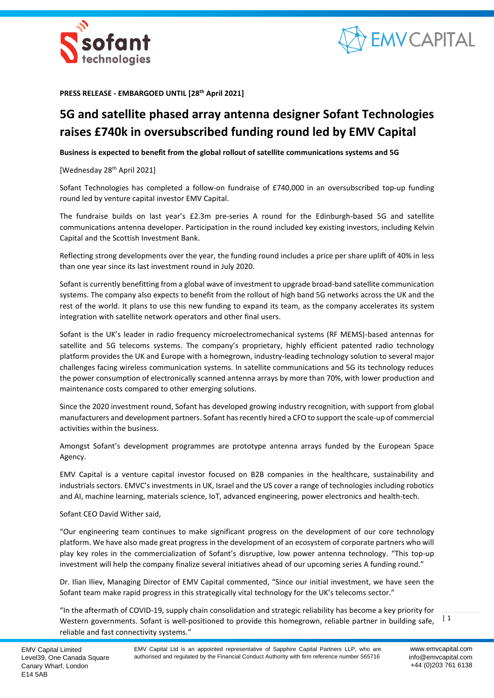



**PRESS RELEASE - EMBARGOED UNTIL [28 th April 2021]**

# **5G and satellite phased array antenna designer Sofant Technologies raises £740k in oversubscribed funding round led by EMV Capital**

**Business is expected to benefit from the global rollout of satellite communications systems and 5G**

[Wednesday 28<sup>th</sup> April 2021]

Sofant Technologies has completed a follow-on fundraise of £740,000 in an oversubscribed top-up funding round led by venture capital investor EMV Capital.

The fundraise builds on last year's £2.3m pre-series A round for the Edinburgh-based 5G and satellite communications antenna developer. Participation in the round included key existing investors, including Kelvin Capital and the Scottish Investment Bank.

Reflecting strong developments over the year, the funding round includes a price per share uplift of 40% in less than one year since its last investment round in July 2020.

Sofant is currently benefitting from a global wave of investment to upgrade broad-band satellite communication systems. The company also expects to benefit from the rollout of high band 5G networks across the UK and the rest of the world. It plans to use this new funding to expand its team, as the company accelerates its system integration with satellite network operators and other final users.

Sofant is the UK's leader in radio frequency microelectromechanical systems (RF MEMS)-based antennas for satellite and 5G telecoms systems. The company's proprietary, highly efficient patented radio technology platform provides the UK and Europe with a homegrown, industry-leading technology solution to several major challenges facing wireless communication systems. In satellite communications and 5G its technology reduces the power consumption of electronically scanned antenna arrays by more than 70%, with lower production and maintenance costs compared to other emerging solutions.

Since the 2020 investment round, Sofant has developed growing industry recognition, with support from global manufacturers and development partners. Sofant has recently hired a CFO to support the scale-up of commercial activities within the business.

Amongst Sofant's development programmes are prototype antenna arrays funded by the European Space Agency.

EMV Capital is a venture capital investor focused on B2B companies in the healthcare, sustainability and industrials sectors. EMVC's investments in UK, Israel and the US cover a range of technologies including robotics and AI, machine learning, materials science, IoT, advanced engineering, power electronics and health-tech.

Sofant CEO David Wither said,

"Our engineering team continues to make significant progress on the development of our core technology platform. We have also made great progress in the development of an ecosystem of corporate partners who will play key roles in the commercialization of Sofant's disruptive, low power antenna technology. "This top-up investment will help the company finalize several initiatives ahead of our upcoming series A funding round."

Dr. Ilian Iliev, Managing Director of EMV Capital commented, "Since our initial investment, we have seen the Sofant team make rapid progress in this strategically vital technology for the UK's telecoms sector."

"In the aftermath of COVID-19, supply chain consolidation and strategic reliability has become a key priority for Western governments. Sofant is well-positioned to provide this homegrown, reliable partner in building safe, reliable and fast connectivity systems."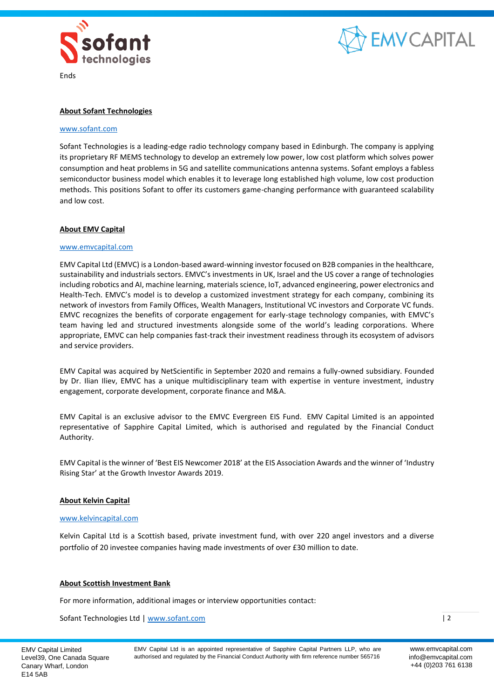



Ends

# **About Sofant Technologies**

#### [www.sofant.com](http://www.sofant.com/)

Sofant Technologies is a leading-edge radio technology company based in Edinburgh. The company is applying its proprietary RF MEMS technology to develop an extremely low power, low cost platform which solves power consumption and heat problems in 5G and satellite communications antenna systems. Sofant employs a fabless semiconductor business model which enables it to leverage long established high volume, low cost production methods. This positions Sofant to offer its customers game-changing performance with guaranteed scalability and low cost.

## **About EMV Capital**

#### [www.emvcapital.com](http://www.emvcapital.com/)

EMV Capital Ltd (EMVC) is a London-based award-winning investor focused on B2B companies in the healthcare, sustainability and industrials sectors. EMVC's investments in UK, Israel and the US cover a range of technologies including robotics and AI, machine learning, materials science, IoT, advanced engineering, power electronics and Health-Tech. EMVC's model is to develop a customized investment strategy for each company, combining its network of investors from Family Offices, Wealth Managers, Institutional VC investors and Corporate VC funds. EMVC recognizes the benefits of corporate engagement for early-stage technology companies, with EMVC's team having led and structured investments alongside some of the world's leading corporations. Where appropriate, EMVC can help companies fast-track their investment readiness through its ecosystem of advisors and service providers.

EMV Capital was acquired by NetScientific in September 2020 and remains a fully-owned subsidiary. Founded by Dr. Ilian Iliev, EMVC has a unique multidisciplinary team with expertise in venture investment, industry engagement, corporate development, corporate finance and M&A.

EMV Capital is an exclusive advisor to the EMVC Evergreen EIS Fund. EMV Capital Limited is an appointed representative of Sapphire Capital Limited, which is authorised and regulated by the Financial Conduct Authority.

EMV Capital is the winner of '[Best EIS Newcomer 2018](https://eisa.org.uk/events/eisa-awards/)' at the EIS Association Awards and the winner of '[Industry](https://growthinvestorawards.com/winners/winners-2019/)  [Rising Star](https://growthinvestorawards.com/winners/winners-2019/)' at the Growth Investor Awards 2019.

## **About Kelvin Capital**

#### [www.kelvincapital.com](http://www.kelvincapital.com/)

Kelvin Capital Ltd is a Scottish based, private investment fund, with over 220 angel investors and a diverse portfolio of 20 investee companies having made investments of over £30 million to date.

# **About Scottish Investment Bank**

For more information, additional images or interview opportunities contact:

Sofant Technologies Ltd | [www.sofant.com](http://www.sofant.com/)

 $|2$